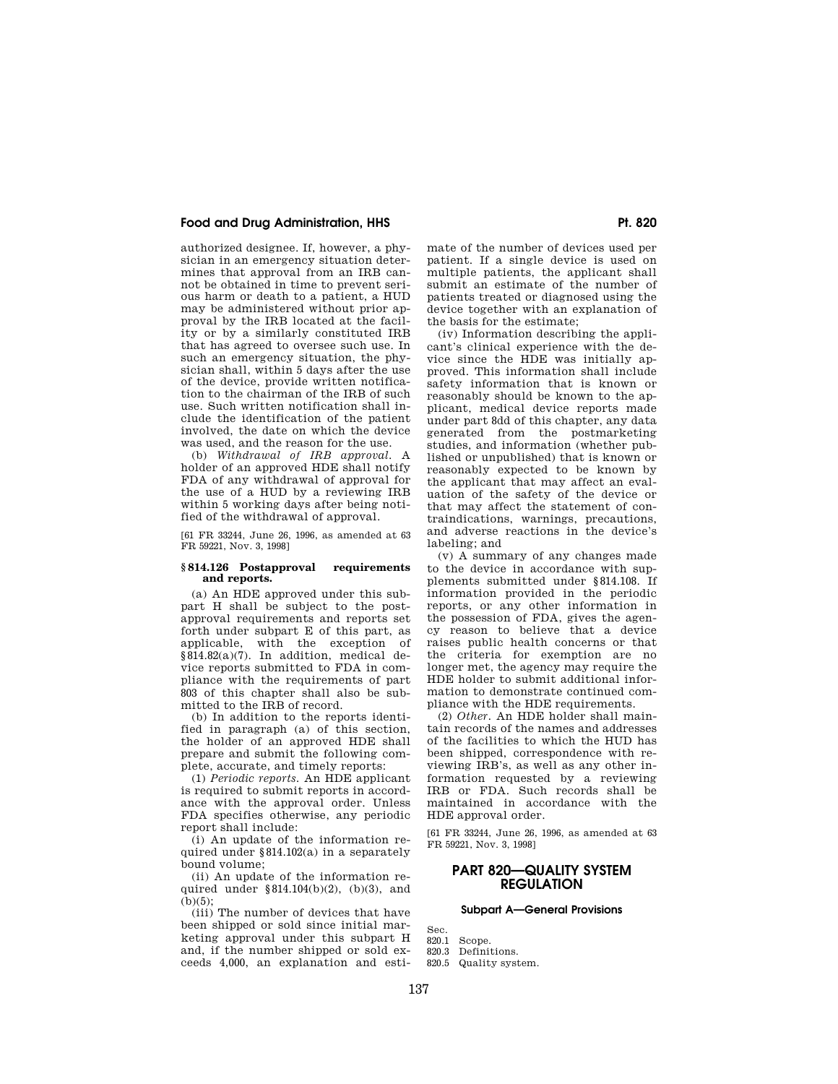authorized designee. If, however, a physician in an emergency situation determines that approval from an IRB cannot be obtained in time to prevent serious harm or death to a patient, a HUD may be administered without prior approval by the IRB located at the facility or by a similarly constituted IRB that has agreed to oversee such use. In such an emergency situation, the physician shall, within 5 days after the use of the device, provide written notification to the chairman of the IRB of such use. Such written notification shall include the identification of the patient involved, the date on which the device was used, and the reason for the use.

(b) *Withdrawal of IRB approval.* holder of an approved HDE shall notify FDA of any withdrawal of approval for the use of a HUD by a reviewing IRB within 5 working days after being notified of the withdrawal of approval.

[61 FR 33244, June 26, 1996, as amended at 63 FR 59221, Nov. 3, 1998]

#### **§ 814.126 Postapproval requirements and reports.**

(a) An HDE approved under this subpart H shall be subject to the postapproval requirements and reports set forth under subpart E of this part, as applicable, with the exception of § 814.82(a)(7). In addition, medical device reports submitted to FDA in compliance with the requirements of part 803 of this chapter shall also be submitted to the IRB of record.

(b) In addition to the reports identified in paragraph (a) of this section, the holder of an approved HDE shall prepare and submit the following complete, accurate, and timely reports:

(1) *Periodic reports.* An HDE applicant is required to submit reports in accordance with the approval order. Unless FDA specifies otherwise, any periodic report shall include:

(i) An update of the information required under § 814.102(a) in a separately bound volume;

(ii) An update of the information required under § 814.104(b)(2), (b)(3), and (b)(5);

(iii) The number of devices that have been shipped or sold since initial marketing approval under this subpart H and, if the number shipped or sold exceeds 4,000, an explanation and estimate of the number of devices used per patient. If a single device is used on multiple patients, the applicant shall submit an estimate of the number of patients treated or diagnosed using the device together with an explanation of the basis for the estimate;

(iv) Information describing the applicant's clinical experience with the device since the HDE was initially approved. This information shall include safety information that is known or reasonably should be known to the applicant, medical device reports made under part 8dd of this chapter, any data generated from the postmarketing studies, and information (whether published or unpublished) that is known or reasonably expected to be known by the applicant that may affect an evaluation of the safety of the device or that may affect the statement of contraindications, warnings, precautions, and adverse reactions in the device's labeling; and

(v) A summary of any changes made to the device in accordance with supplements submitted under § 814.108. If information provided in the periodic reports, or any other information in the possession of FDA, gives the agency reason to believe that a device raises public health concerns or that the criteria for exemption are no longer met, the agency may require the HDE holder to submit additional information to demonstrate continued compliance with the HDE requirements.

(2) *Other.* An HDE holder shall maintain records of the names and addresses of the facilities to which the HUD has been shipped, correspondence with reviewing IRB's, as well as any other information requested by a reviewing IRB or FDA. Such records shall be maintained in accordance with the HDE approval order.

[61 FR 33244, June 26, 1996, as amended at 63 FR 59221, Nov. 3, 1998]

# **PART 820—QUALITY SYSTEM REGULATION**

#### **Subpart A—General Provisions**

Sec.<br>820.1

- Scope. 820.3 Definitions.
- 820.5 Quality system.
- 137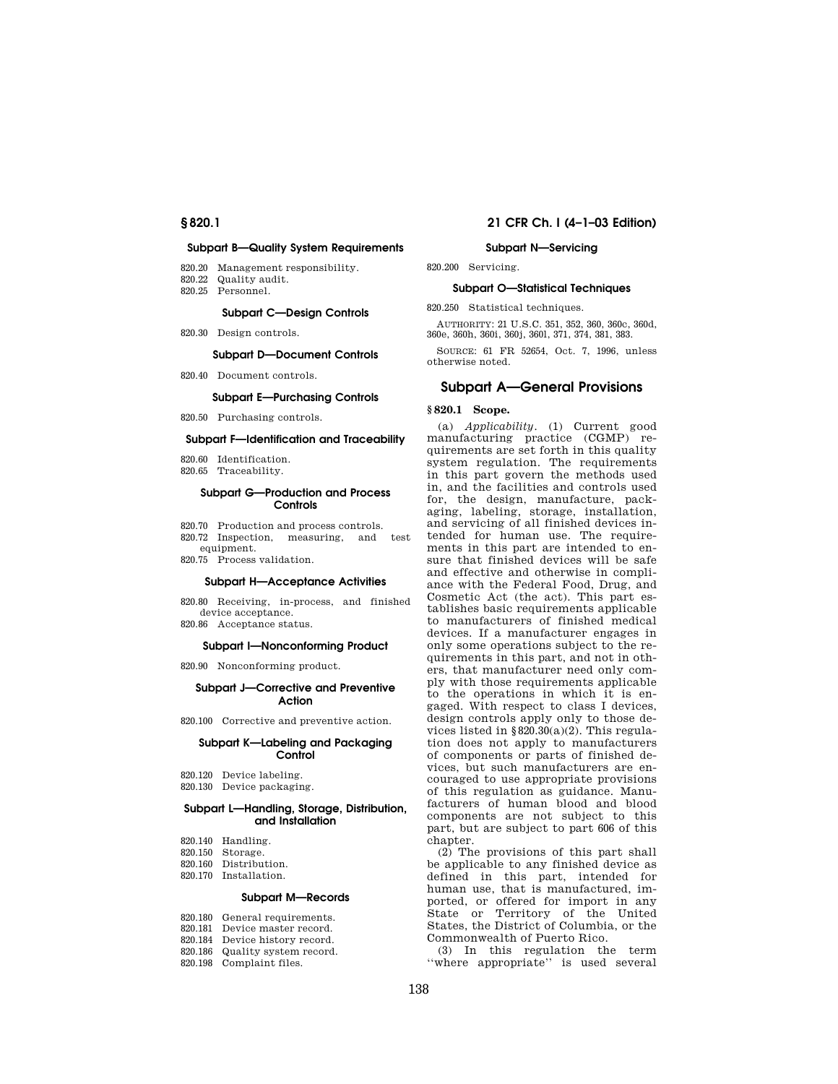#### **Subpart B—Quality System Requirements**

- 820.20 Management responsibility.
- 820.22 Quality audit.
- 820.25 Personnel.

#### **Subpart C—Design Controls**

820.30 Design controls.

#### **Subpart D—Document Controls**

820.40 Document controls.

#### **Subpart E—Purchasing Controls**

820.50 Purchasing controls.

#### **Subpart F—Identification and Traceability**

- 820.60 Identification.
- 820.65 Traceability.

## **Subpart G—Production and Process Controls**

- 820.70 Production and process controls.
- 820.72 Inspection, measuring, and test
- equipment. 820.75 Process validation.

# **Subpart H—Acceptance Activities**

820.80 Receiving, in-process, and finished device acceptance.

820.86 Acceptance status.

#### **Subpart I—Nonconforming Product**

820.90 Nonconforming product.

#### **Subpart J—Corrective and Preventive Action**

820.100 Corrective and preventive action.

### **Subpart K—Labeling and Packaging Control**

- 820.120 Device labeling.
- 820.130 Device packaging.

#### **Subpart L—Handling, Storage, Distribution, and Installation**

- 820.140 Handling.
- 820.150 Storage.
- 820.160 Distribution.
- 820.170 Installation.

# **Subpart M—Records**

- 820.180 General requirements.
- 820.181 Device master record.
- 820.184 Device history record.
- 820.186 Quality system record.
- 820.198 Complaint files.

## **§ 820.1 21 CFR Ch. I (4–1–03 Edition)**

## **Subpart N—Servicing**

820.200 Servicing.

#### **Subpart O—Statistical Techniques**

820.250 Statistical techniques.

AUTHORITY: 21 U.S.C. 351, 352, 360, 360c, 360d, 360e, 360h, 360i, 360j, 360l, 371, 374, 381, 383.

SOURCE: 61 FR 52654, Oct. 7, 1996, unless otherwise noted.

## **Subpart A—General Provisions**

#### **§ 820.1 Scope.**

(a) *Applicability.* (1) Current good manufacturing practice (CGMP) requirements are set forth in this quality system regulation. The requirements in this part govern the methods used in, and the facilities and controls used for, the design, manufacture, packaging, labeling, storage, installation, and servicing of all finished devices intended for human use. The requirements in this part are intended to ensure that finished devices will be safe and effective and otherwise in compliance with the Federal Food, Drug, and Cosmetic Act (the act). This part establishes basic requirements applicable to manufacturers of finished medical devices. If a manufacturer engages in only some operations subject to the requirements in this part, and not in others, that manufacturer need only comply with those requirements applicable to the operations in which it is engaged. With respect to class I devices, design controls apply only to those devices listed in § 820.30(a)(2). This regulation does not apply to manufacturers of components or parts of finished devices, but such manufacturers are encouraged to use appropriate provisions of this regulation as guidance. Manufacturers of human blood and blood components are not subject to this part, but are subject to part 606 of this chapter.

(2) The provisions of this part shall be applicable to any finished device as defined in this part, intended for human use, that is manufactured, imported, or offered for import in any State or Territory of the United States, the District of Columbia, or the Commonwealth of Puerto Rico.

(3) In this regulation the term ''where appropriate'' is used several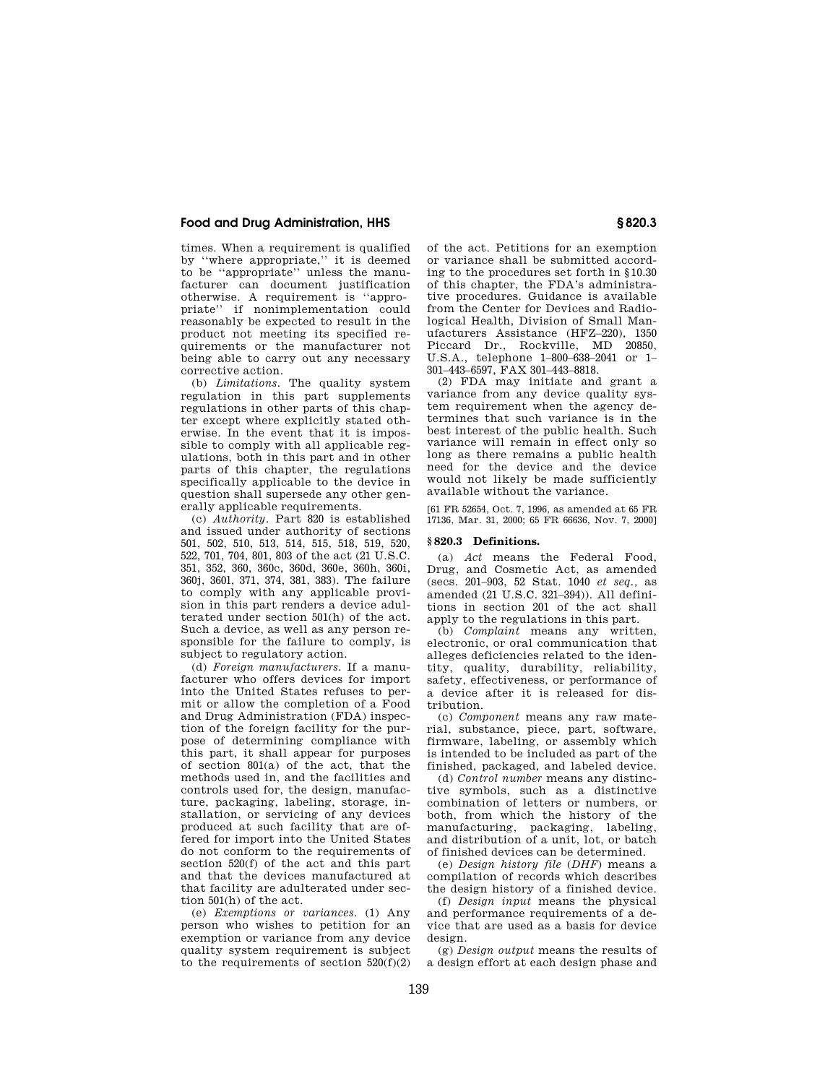times. When a requirement is qualified by ''where appropriate,'' it is deemed to be ''appropriate'' unless the manufacturer can document justification otherwise. A requirement is ''appropriate'' if nonimplementation could reasonably be expected to result in the product not meeting its specified requirements or the manufacturer not being able to carry out any necessary corrective action.

(b) *Limitations.* The quality system regulation in this part supplements regulations in other parts of this chapter except where explicitly stated otherwise. In the event that it is impossible to comply with all applicable regulations, both in this part and in other parts of this chapter, the regulations specifically applicable to the device in question shall supersede any other generally applicable requirements.

(c) *Authority.* Part 820 is established and issued under authority of sections 501, 502, 510, 513, 514, 515, 518, 519, 520, 522, 701, 704, 801, 803 of the act (21 U.S.C. 351, 352, 360, 360c, 360d, 360e, 360h, 360i, 360j, 360l, 371, 374, 381, 383). The failure to comply with any applicable provision in this part renders a device adulterated under section 501(h) of the act. Such a device, as well as any person responsible for the failure to comply, is subject to regulatory action.

(d) *Foreign manufacturers.* If a manufacturer who offers devices for import into the United States refuses to permit or allow the completion of a Food and Drug Administration (FDA) inspection of the foreign facility for the purpose of determining compliance with this part, it shall appear for purposes of section 801(a) of the act, that the methods used in, and the facilities and controls used for, the design, manufacture, packaging, labeling, storage, installation, or servicing of any devices produced at such facility that are offered for import into the United States do not conform to the requirements of section 520(f) of the act and this part and that the devices manufactured at that facility are adulterated under section 501(h) of the act.

(e) *Exemptions or variances*. (1) Any person who wishes to petition for an exemption or variance from any device quality system requirement is subject to the requirements of section  $520(f)(2)$  of the act. Petitions for an exemption or variance shall be submitted according to the procedures set forth in § 10.30 of this chapter, the FDA's administrative procedures. Guidance is available from the Center for Devices and Radiological Health, Division of Small Manufacturers Assistance (HFZ–220), 1350 Piccard Dr., Rockville, MD 20850, U.S.A., telephone 1–800–638–2041 or 1– 301–443–6597, FAX 301–443–8818.

(2) FDA may initiate and grant a variance from any device quality system requirement when the agency determines that such variance is in the best interest of the public health. Such variance will remain in effect only so long as there remains a public health need for the device and the device would not likely be made sufficiently available without the variance.

[61 FR 52654, Oct. 7, 1996, as amended at 65 FR 17136, Mar. 31, 2000; 65 FR 66636, Nov. 7, 2000]

### **§ 820.3 Definitions.**

(a) *Act* means the Federal Food, Drug, and Cosmetic Act, as amended (secs. 201–903, 52 Stat. 1040 *et seq.,* as amended (21 U.S.C. 321–394)). All definitions in section 201 of the act shall apply to the regulations in this part.

(b) *Complaint* means any written, electronic, or oral communication that alleges deficiencies related to the identity, quality, durability, reliability, safety, effectiveness, or performance of a device after it is released for distribution.

(c) *Component* means any raw material, substance, piece, part, software, firmware, labeling, or assembly which is intended to be included as part of the finished, packaged, and labeled device.

(d) *Control number* means any distinctive symbols, such as a distinctive combination of letters or numbers, or both, from which the history of the manufacturing, packaging, labeling, and distribution of a unit, lot, or batch of finished devices can be determined.

(e) *Design history file* (*DHF*) means a compilation of records which describes the design history of a finished device.

(f) *Design input* means the physical and performance requirements of a device that are used as a basis for device design.

(g) *Design output* means the results of a design effort at each design phase and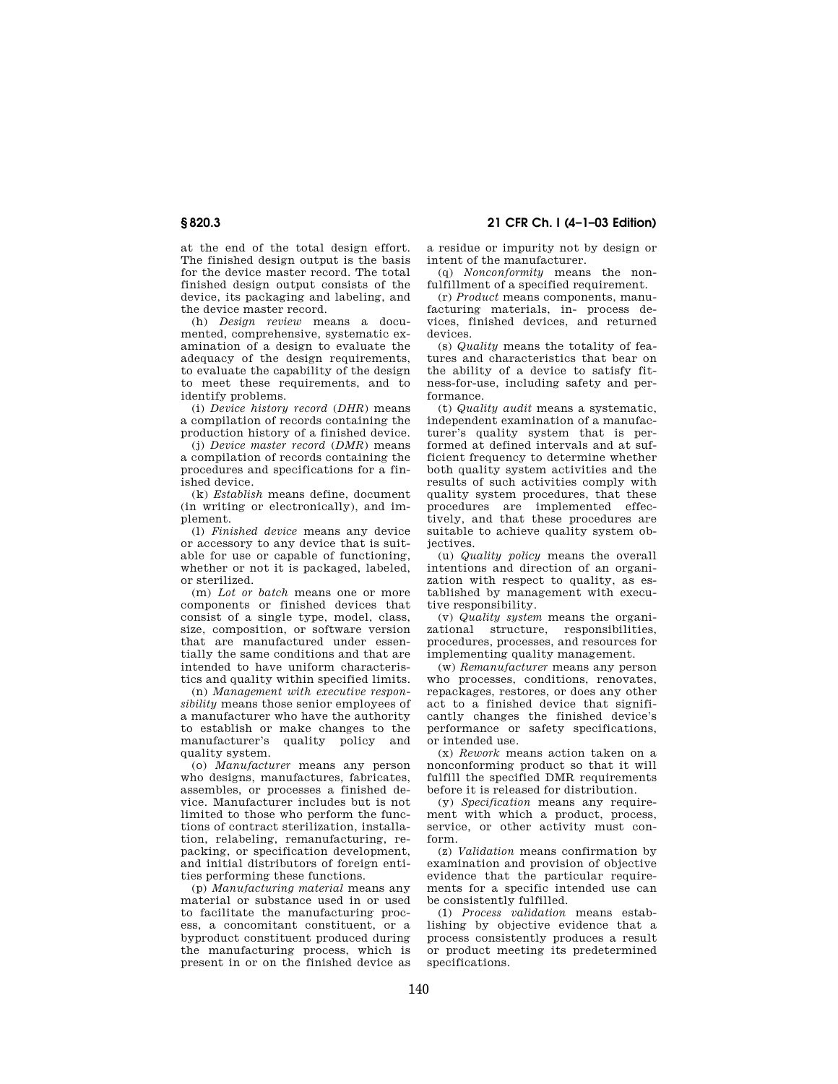at the end of the total design effort. The finished design output is the basis for the device master record. The total finished design output consists of the device, its packaging and labeling, and the device master record.

(h) *Design review* means a documented, comprehensive, systematic examination of a design to evaluate the adequacy of the design requirements. to evaluate the capability of the design to meet these requirements, and to identify problems.

(i) *Device history record* (*DHR*) means a compilation of records containing the production history of a finished device.

(j) *Device master record* (*DMR*) means a compilation of records containing the procedures and specifications for a finished device.

(k) *Establish* means define, document (in writing or electronically), and implement.

(l) *Finished device* means any device or accessory to any device that is suitable for use or capable of functioning, whether or not it is packaged, labeled, or sterilized.

(m) *Lot or batch* means one or more components or finished devices that consist of a single type, model, class, size, composition, or software version that are manufactured under essentially the same conditions and that are intended to have uniform characteristics and quality within specified limits.

(n) *Management with executive responsibility* means those senior employees of a manufacturer who have the authority to establish or make changes to the manufacturer's quality policy and quality system.

(o) *Manufacturer* means any person who designs, manufactures, fabricates, assembles, or processes a finished device. Manufacturer includes but is not limited to those who perform the functions of contract sterilization, installation, relabeling, remanufacturing, repacking, or specification development, and initial distributors of foreign entities performing these functions.

(p) *Manufacturing material* means any material or substance used in or used to facilitate the manufacturing process, a concomitant constituent, or a byproduct constituent produced during the manufacturing process, which is present in or on the finished device as

**§ 820.3 21 CFR Ch. I (4–1–03 Edition)**

a residue or impurity not by design or intent of the manufacturer.

(q) *Nonconformity* means the nonfulfillment of a specified requirement.

(r) *Product* means components, manufacturing materials, in- process devices, finished devices, and returned devices.

(s) *Quality* means the totality of features and characteristics that bear on the ability of a device to satisfy fitness-for-use, including safety and performance.

(t) *Quality audit* means a systematic, independent examination of a manufacturer's quality system that is performed at defined intervals and at sufficient frequency to determine whether both quality system activities and the results of such activities comply with quality system procedures, that these procedures are implemented effectively, and that these procedures are suitable to achieve quality system objectives.

(u) *Quality policy* means the overall intentions and direction of an organization with respect to quality, as established by management with executive responsibility.

(v) *Quality system* means the organizational structure, responsibilities, procedures, processes, and resources for implementing quality management.

(w) *Remanufacturer* means any person who processes, conditions, renovates, repackages, restores, or does any other act to a finished device that significantly changes the finished device's performance or safety specifications, or intended use.

(x) *Rework* means action taken on a nonconforming product so that it will fulfill the specified DMR requirements before it is released for distribution.

(y) *Specification* means any requirement with which a product, process service, or other activity must conform.

(z) *Validation* means confirmation by examination and provision of objective evidence that the particular requirements for a specific intended use can be consistently fulfilled.

(1) *Process validation* means establishing by objective evidence that a process consistently produces a result or product meeting its predetermined specifications.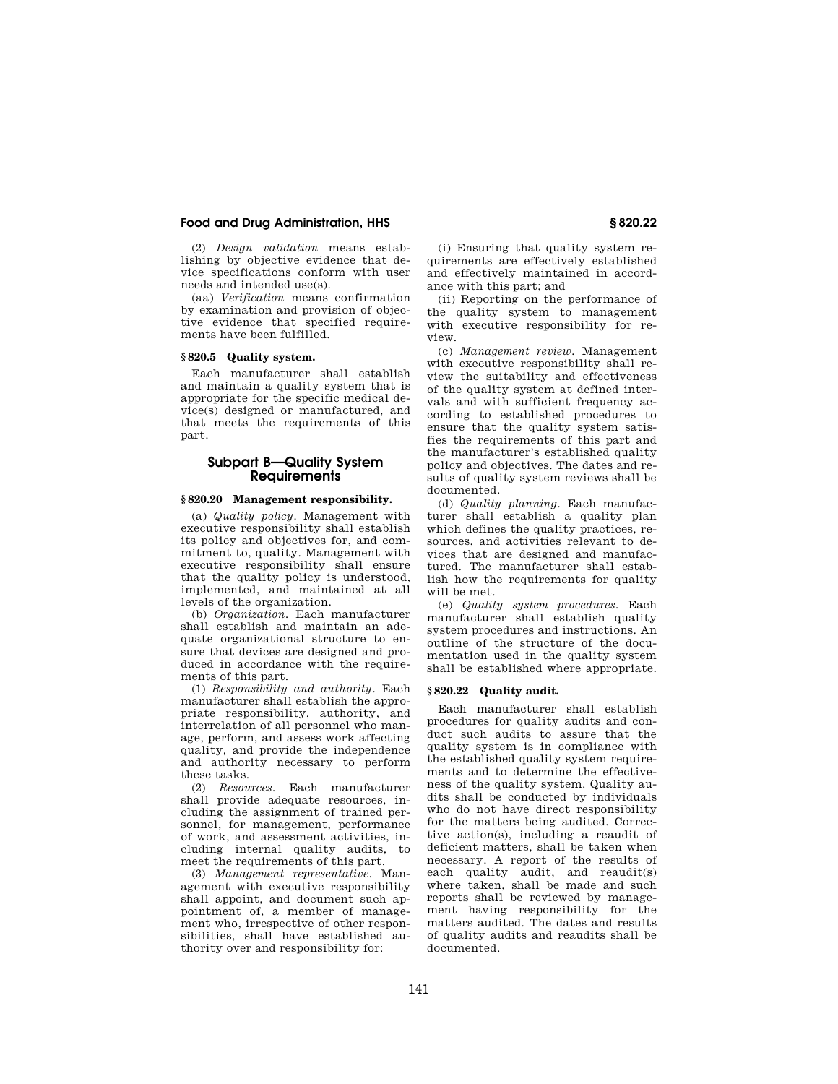(2) *Design validation* means establishing by objective evidence that device specifications conform with user needs and intended use(s).

(aa) *Verification* means confirmation by examination and provision of objective evidence that specified requirements have been fulfilled.

#### **§ 820.5 Quality system.**

Each manufacturer shall establish and maintain a quality system that is appropriate for the specific medical device(s) designed or manufactured, and that meets the requirements of this part.

# **Subpart B—Quality System Requirements**

#### **§ 820.20 Management responsibility.**

(a) *Quality policy.* Management with executive responsibility shall establish its policy and objectives for, and commitment to, quality. Management with executive responsibility shall ensure that the quality policy is understood, implemented, and maintained at all levels of the organization.

(b) *Organization.* Each manufacturer shall establish and maintain an adequate organizational structure to ensure that devices are designed and produced in accordance with the requirements of this part.

(1) *Responsibility and authority.* Each manufacturer shall establish the appropriate responsibility, authority, and interrelation of all personnel who manage, perform, and assess work affecting quality, and provide the independence and authority necessary to perform these tasks.

(2) *Resources.* Each manufacturer shall provide adequate resources, including the assignment of trained personnel, for management, performance of work, and assessment activities, including internal quality audits, to meet the requirements of this part.

(3) *Management representative.* Management with executive responsibility shall appoint, and document such appointment of, a member of management who, irrespective of other responsibilities, shall have established authority over and responsibility for:

(i) Ensuring that quality system requirements are effectively established and effectively maintained in accordance with this part; and

(ii) Reporting on the performance of the quality system to management with executive responsibility for review.

(c) *Management review.* Management with executive responsibility shall review the suitability and effectiveness of the quality system at defined intervals and with sufficient frequency according to established procedures to ensure that the quality system satisfies the requirements of this part and the manufacturer's established quality policy and objectives. The dates and results of quality system reviews shall be documented.

(d) *Quality planning.* Each manufacturer shall establish a quality plan which defines the quality practices, resources, and activities relevant to devices that are designed and manufactured. The manufacturer shall establish how the requirements for quality will be met.

(e) *Quality system procedures.* Each manufacturer shall establish quality system procedures and instructions. An outline of the structure of the documentation used in the quality system shall be established where appropriate.

#### **§ 820.22 Quality audit.**

Each manufacturer shall establish procedures for quality audits and conduct such audits to assure that the quality system is in compliance with the established quality system requirements and to determine the effectiveness of the quality system. Quality audits shall be conducted by individuals who do not have direct responsibility for the matters being audited. Corrective action(s), including a reaudit of deficient matters, shall be taken when necessary. A report of the results of each quality audit, and reaudit(s) where taken, shall be made and such reports shall be reviewed by management having responsibility for the matters audited. The dates and results of quality audits and reaudits shall be documented.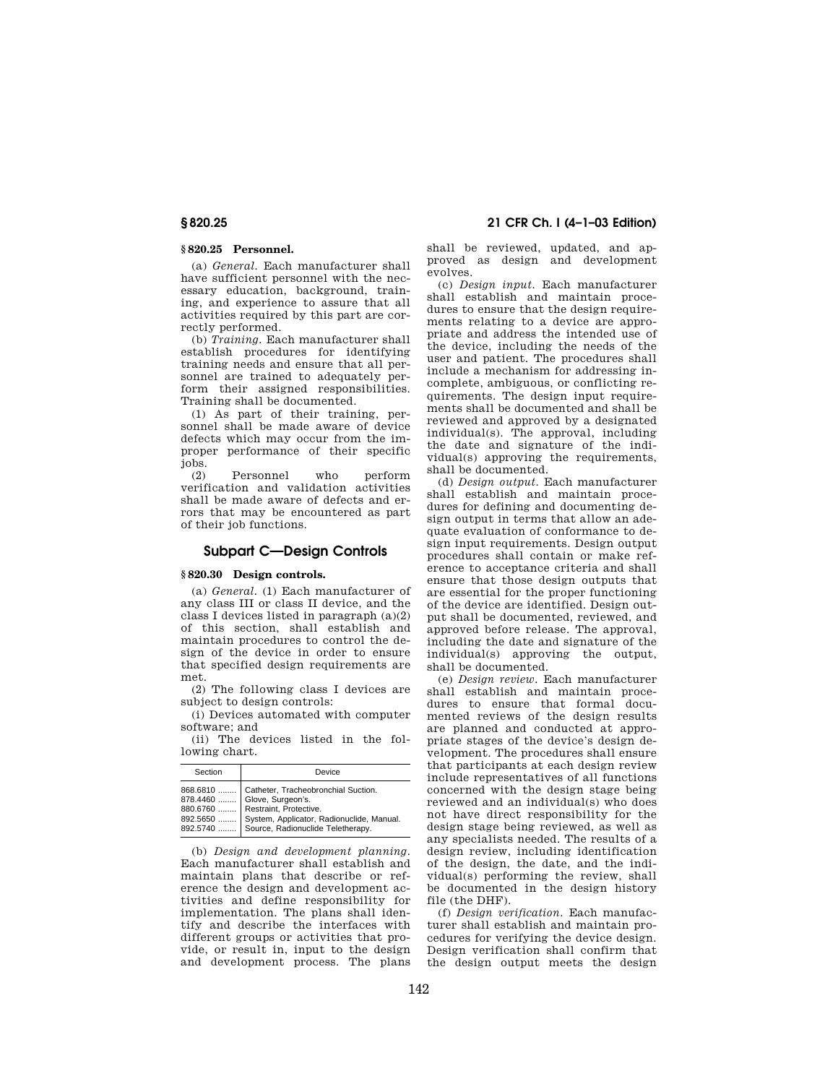### **§ 820.25 Personnel.**

(a) *General.* Each manufacturer shall have sufficient personnel with the necessary education, background, training, and experience to assure that all activities required by this part are correctly performed.

(b) *Training.* Each manufacturer shall establish procedures for identifying training needs and ensure that all personnel are trained to adequately perform their assigned responsibilities. Training shall be documented.

(1) As part of their training, personnel shall be made aware of device defects which may occur from the improper performance of their specific jobs.

(2) Personnel who perform verification and validation activities shall be made aware of defects and errors that may be encountered as part of their job functions.

# **Subpart C—Design Controls**

#### **§ 820.30 Design controls.**

(a) *General.* (1) Each manufacturer of any class III or class II device, and the class I devices listed in paragraph (a)(2) of this section, shall establish and maintain procedures to control the design of the device in order to ensure that specified design requirements are met.

(2) The following class I devices are subject to design controls:

(i) Devices automated with computer software; and

(ii) The devices listed in the following chart.

| Section | Device                                                          |
|---------|-----------------------------------------------------------------|
|         | 868.6810    Catheter, Tracheobronchial Suction.                 |
|         |                                                                 |
|         | 878.4460  Glove, Surgeon's.<br>880.6760  Restraint, Protective. |
|         | 892.5650    System, Applicator, Radionuclide, Manual.           |
|         | 892.5740    Source, Radionuclide Teletherapy.                   |

(b) *Design and development planning.* Each manufacturer shall establish and maintain plans that describe or reference the design and development activities and define responsibility for implementation. The plans shall identify and describe the interfaces with different groups or activities that provide, or result in, input to the design and development process. The plans

**§ 820.25 21 CFR Ch. I (4–1–03 Edition)**

shall be reviewed, updated, and approved as design and development evolves.

(c) *Design input.* Each manufacturer shall establish and maintain procedures to ensure that the design requirements relating to a device are appropriate and address the intended use of the device, including the needs of the user and patient. The procedures shall include a mechanism for addressing incomplete, ambiguous, or conflicting requirements. The design input requirements shall be documented and shall be reviewed and approved by a designated individual(s). The approval, including the date and signature of the individual(s) approving the requirements, shall be documented.

(d) *Design output.* Each manufacturer shall establish and maintain procedures for defining and documenting design output in terms that allow an adequate evaluation of conformance to design input requirements. Design output procedures shall contain or make reference to acceptance criteria and shall ensure that those design outputs that are essential for the proper functioning of the device are identified. Design output shall be documented, reviewed, and approved before release. The approval, including the date and signature of the individual(s) approving the output, shall be documented.

(e) *Design review.* Each manufacturer shall establish and maintain procedures to ensure that formal documented reviews of the design results are planned and conducted at appropriate stages of the device's design development. The procedures shall ensure that participants at each design review include representatives of all functions concerned with the design stage being reviewed and an individual(s) who does not have direct responsibility for the design stage being reviewed, as well as any specialists needed. The results of a design review, including identification of the design, the date, and the individual(s) performing the review, shall be documented in the design history file (the DHF).

(f) *Design verification.* Each manufacturer shall establish and maintain procedures for verifying the device design. Design verification shall confirm that the design output meets the design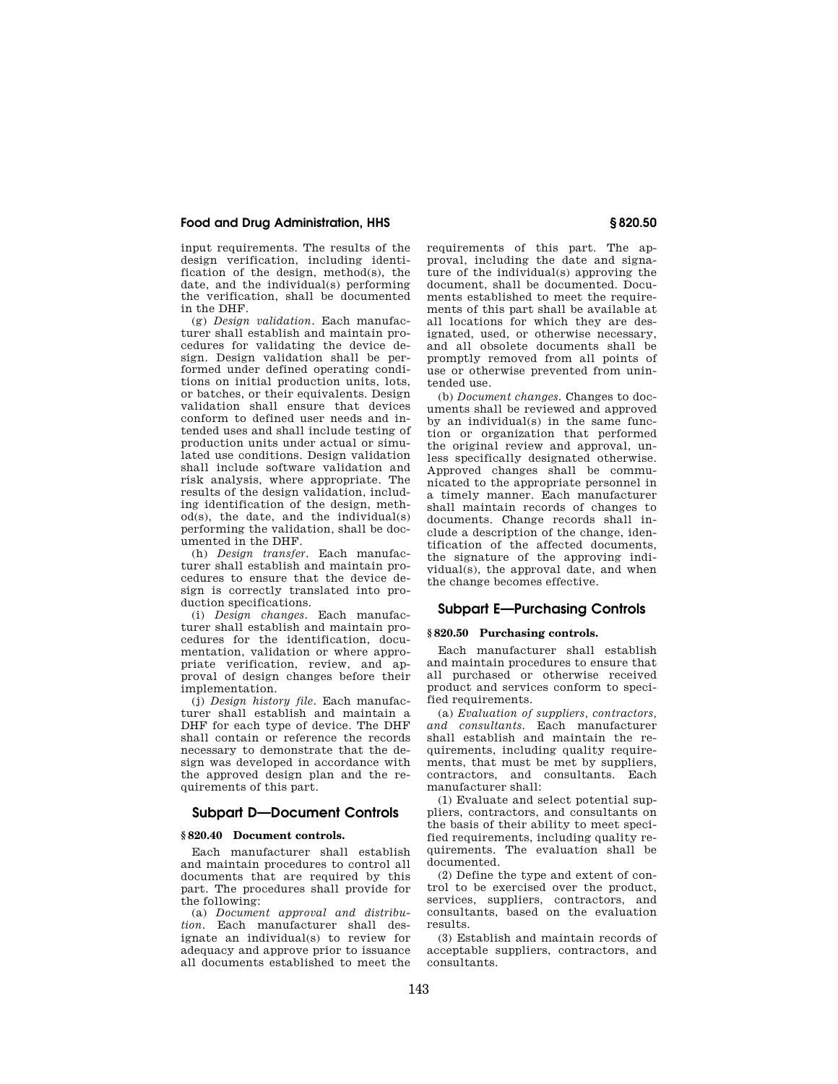input requirements. The results of the design verification, including identification of the design, method(s), the date, and the individual(s) performing the verification, shall be documented in the DHF.

(g) *Design validation.* Each manufacturer shall establish and maintain procedures for validating the device design. Design validation shall be performed under defined operating conditions on initial production units, lots, or batches, or their equivalents. Design validation shall ensure that devices conform to defined user needs and intended uses and shall include testing of production units under actual or simulated use conditions. Design validation shall include software validation and risk analysis, where appropriate. The results of the design validation, including identification of the design, method(s), the date, and the individual(s) performing the validation, shall be documented in the DHF.

(h) *Design transfer.* Each manufacturer shall establish and maintain procedures to ensure that the device design is correctly translated into production specifications.

(i) *Design changes.* Each manufacturer shall establish and maintain procedures for the identification, documentation, validation or where appropriate verification, review, and approval of design changes before their implementation.

(j) *Design history file.* Each manufacturer shall establish and maintain a DHF for each type of device. The DHF shall contain or reference the records necessary to demonstrate that the design was developed in accordance with the approved design plan and the requirements of this part.

# **Subpart D—Document Controls**

## **§ 820.40 Document controls.**

Each manufacturer shall establish and maintain procedures to control all documents that are required by this part. The procedures shall provide for the following:

(a) *Document approval and distribution.* Each manufacturer shall designate an individual(s) to review for adequacy and approve prior to issuance all documents established to meet the requirements of this part. The approval, including the date and signature of the individual(s) approving the document, shall be documented. Documents established to meet the requirements of this part shall be available at all locations for which they are designated, used, or otherwise necessary, and all obsolete documents shall be promptly removed from all points of use or otherwise prevented from unintended use.

(b) *Document changes.* Changes to documents shall be reviewed and approved by an individual(s) in the same function or organization that performed the original review and approval, unless specifically designated otherwise. Approved changes shall be communicated to the appropriate personnel in a timely manner. Each manufacturer shall maintain records of changes to documents. Change records shall include a description of the change, identification of the affected documents, the signature of the approving individual(s), the approval date, and when the change becomes effective.

# **Subpart E—Purchasing Controls**

## **§ 820.50 Purchasing controls.**

Each manufacturer shall establish and maintain procedures to ensure that all purchased or otherwise received product and services conform to specified requirements.

(a) *Evaluation of suppliers, contractors, and consultants.* Each manufacturer shall establish and maintain the requirements, including quality requirements, that must be met by suppliers, contractors, and consultants. Each manufacturer shall:

(1) Evaluate and select potential suppliers, contractors, and consultants on the basis of their ability to meet specified requirements, including quality requirements. The evaluation shall be documented.

(2) Define the type and extent of control to be exercised over the product, services, suppliers, contractors, and consultants, based on the evaluation results.

(3) Establish and maintain records of acceptable suppliers, contractors, and consultants.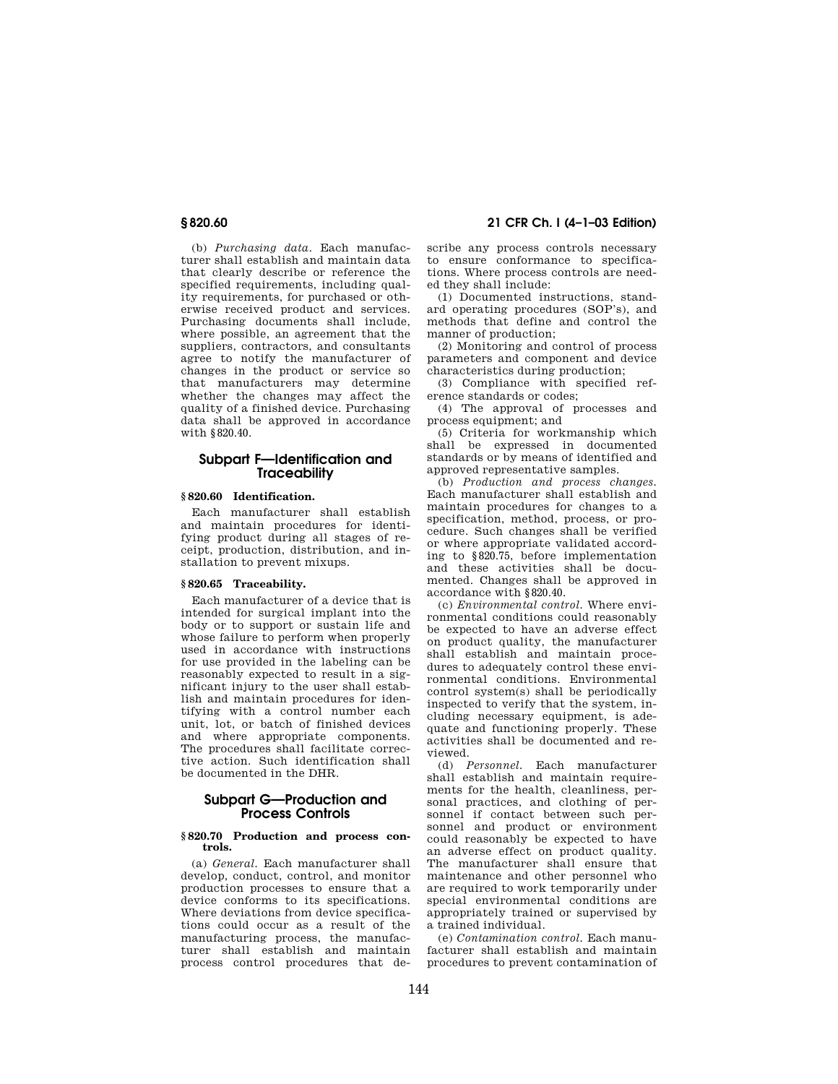(b) *Purchasing data.* Each manufacturer shall establish and maintain data that clearly describe or reference the specified requirements, including quality requirements, for purchased or otherwise received product and services. Purchasing documents shall include, where possible, an agreement that the suppliers, contractors, and consultants agree to notify the manufacturer of changes in the product or service so that manufacturers may determine whether the changes may affect the quality of a finished device. Purchasing data shall be approved in accordance with § 820.40.

# **Subpart F—Identification and Traceability**

# **§ 820.60 Identification.**

Each manufacturer shall establish and maintain procedures for identifying product during all stages of receipt, production, distribution, and installation to prevent mixups.

#### **§ 820.65 Traceability.**

Each manufacturer of a device that is intended for surgical implant into the body or to support or sustain life and whose failure to perform when properly used in accordance with instructions for use provided in the labeling can be reasonably expected to result in a significant injury to the user shall establish and maintain procedures for identifying with a control number each unit, lot, or batch of finished devices and where appropriate components. The procedures shall facilitate corrective action. Such identification shall be documented in the DHR.

# **Subpart G—Production and Process Controls**

#### **§ 820.70 Production and process controls.**

(a) *General.* Each manufacturer shall develop, conduct, control, and monitor production processes to ensure that a device conforms to its specifications. Where deviations from device specifications could occur as a result of the manufacturing process, the manufacturer shall establish and maintain process control procedures that de-

**§ 820.60 21 CFR Ch. I (4–1–03 Edition)**

scribe any process controls necessary to ensure conformance to specifications. Where process controls are needed they shall include:

(1) Documented instructions, standard operating procedures (SOP's), and methods that define and control the manner of production;

(2) Monitoring and control of process parameters and component and device characteristics during production;

(3) Compliance with specified reference standards or codes;

(4) The approval of processes and process equipment; and

(5) Criteria for workmanship which shall be expressed in documented standards or by means of identified and approved representative samples.

(b) *Production and process changes.* Each manufacturer shall establish and maintain procedures for changes to a specification, method, process, or procedure. Such changes shall be verified or where appropriate validated according to § 820.75, before implementation and these activities shall be documented. Changes shall be approved in accordance with § 820.40.

(c) *Environmental control.* Where environmental conditions could reasonably be expected to have an adverse effect on product quality, the manufacturer shall establish and maintain procedures to adequately control these environmental conditions. Environmental control system(s) shall be periodically inspected to verify that the system, including necessary equipment, is adequate and functioning properly. These activities shall be documented and reviewed.

(d) *Personnel.* Each manufacturer shall establish and maintain requirements for the health, cleanliness, personal practices, and clothing of personnel if contact between such personnel and product or environment could reasonably be expected to have an adverse effect on product quality. The manufacturer shall ensure that maintenance and other personnel who are required to work temporarily under special environmental conditions are appropriately trained or supervised by a trained individual.

(e) *Contamination control.* Each manufacturer shall establish and maintain procedures to prevent contamination of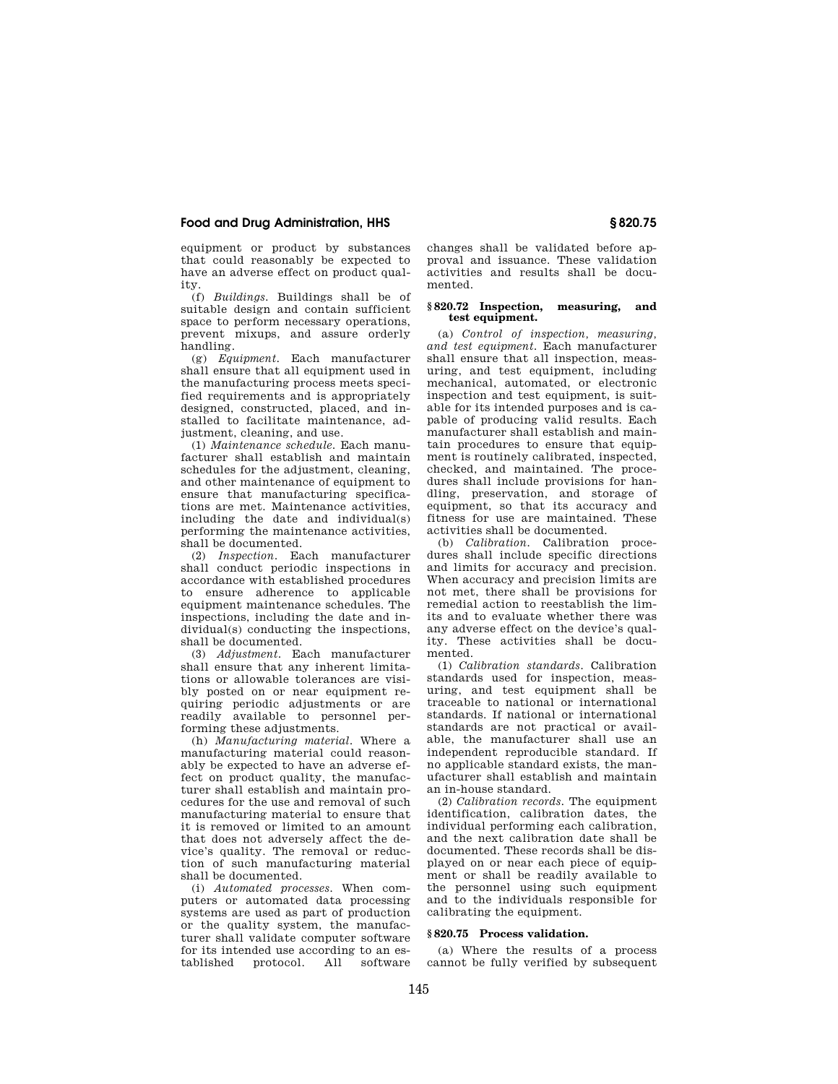equipment or product by substances that could reasonably be expected to have an adverse effect on product quality.

(f) *Buildings.* Buildings shall be of suitable design and contain sufficient space to perform necessary operations, prevent mixups, and assure orderly handling.

(g) *Equipment.* Each manufacturer shall ensure that all equipment used in the manufacturing process meets specified requirements and is appropriately designed, constructed, placed, and installed to facilitate maintenance, adjustment, cleaning, and use.

(1) *Maintenance schedule.* Each manufacturer shall establish and maintain schedules for the adjustment, cleaning, and other maintenance of equipment to ensure that manufacturing specifications are met. Maintenance activities, including the date and individual(s) performing the maintenance activities, shall be documented.

(2) *Inspection.* Each manufacturer shall conduct periodic inspections in accordance with established procedures to ensure adherence to applicable equipment maintenance schedules. The inspections, including the date and individual(s) conducting the inspections, shall be documented.

(3) *Adjustment.* Each manufacturer shall ensure that any inherent limitations or allowable tolerances are visibly posted on or near equipment requiring periodic adjustments or are readily available to personnel performing these adjustments.

(h) *Manufacturing material.* Where a manufacturing material could reasonably be expected to have an adverse effect on product quality, the manufacturer shall establish and maintain procedures for the use and removal of such manufacturing material to ensure that it is removed or limited to an amount that does not adversely affect the device's quality. The removal or reduction of such manufacturing material shall be documented.

(i) *Automated processes.* When computers or automated data processing systems are used as part of production or the quality system, the manufacturer shall validate computer software for its intended use according to an es-<br>tablished protocol. All software tablished

changes shall be validated before approval and issuance. These validation activities and results shall be documented.

#### **§ 820.72 Inspection, measuring, and test equipment.**

(a) *Control of inspection, measuring, and test equipment.* Each manufacturer shall ensure that all inspection, measuring, and test equipment, including mechanical, automated, or electronic inspection and test equipment, is suitable for its intended purposes and is capable of producing valid results. Each manufacturer shall establish and maintain procedures to ensure that equipment is routinely calibrated, inspected, checked, and maintained. The procedures shall include provisions for handling, preservation, and storage of equipment, so that its accuracy and fitness for use are maintained. These activities shall be documented.

(b) *Calibration.* Calibration procedures shall include specific directions and limits for accuracy and precision. When accuracy and precision limits are not met, there shall be provisions for remedial action to reestablish the limits and to evaluate whether there was any adverse effect on the device's quality. These activities shall be documented.

(1) *Calibration standards.* Calibration standards used for inspection, measuring, and test equipment shall be traceable to national or international standards. If national or international standards are not practical or available, the manufacturer shall use an independent reproducible standard. If no applicable standard exists, the manufacturer shall establish and maintain an in-house standard.

(2) *Calibration records.* The equipment identification, calibration dates, the individual performing each calibration, and the next calibration date shall be documented. These records shall be displayed on or near each piece of equipment or shall be readily available to the personnel using such equipment and to the individuals responsible for calibrating the equipment.

### **§ 820.75 Process validation.**

(a) Where the results of a process cannot be fully verified by subsequent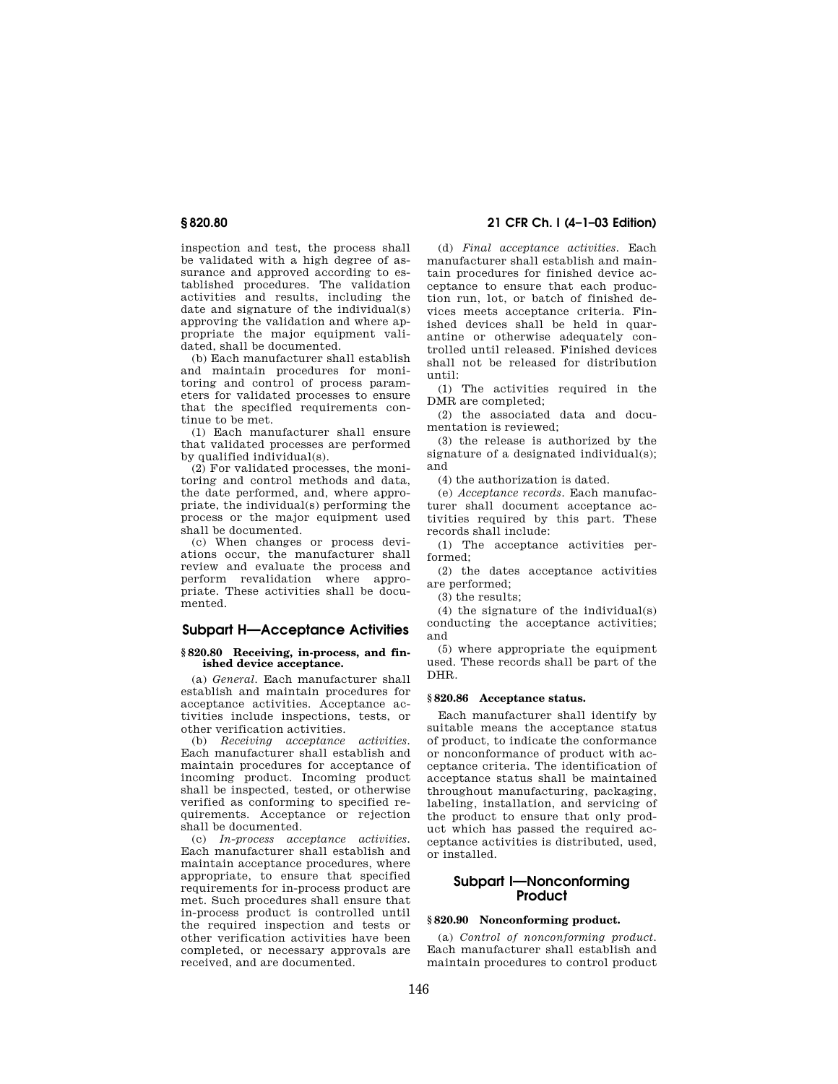inspection and test, the process shall be validated with a high degree of assurance and approved according to established procedures. The validation activities and results, including the date and signature of the individual(s) approving the validation and where appropriate the major equipment validated, shall be documented.

(b) Each manufacturer shall establish and maintain procedures for monitoring and control of process parameters for validated processes to ensure that the specified requirements continue to be met.

(1) Each manufacturer shall ensure that validated processes are performed by qualified individual(s).

(2) For validated processes, the monitoring and control methods and data, the date performed, and, where appropriate, the individual(s) performing the process or the major equipment used shall be documented.

(c) When changes or process deviations occur, the manufacturer shall review and evaluate the process and perform revalidation where appropriate. These activities shall be documented.

# **Subpart H—Acceptance Activities**

#### **§ 820.80 Receiving, in-process, and finished device acceptance.**

(a) *General.* Each manufacturer shall establish and maintain procedures for acceptance activities. Acceptance activities include inspections, tests, or other verification activities.

(b) *Receiving acceptance activities.* Each manufacturer shall establish and maintain procedures for acceptance of incoming product. Incoming product shall be inspected, tested, or otherwise verified as conforming to specified requirements. Acceptance or rejection shall be documented.

(c) *In-process acceptance activities.* Each manufacturer shall establish and maintain acceptance procedures, where appropriate, to ensure that specified requirements for in-process product are met. Such procedures shall ensure that in-process product is controlled until the required inspection and tests or other verification activities have been completed, or necessary approvals are received, and are documented.

**§ 820.80 21 CFR Ch. I (4–1–03 Edition)**

(d) *Final acceptance activities.* Each manufacturer shall establish and maintain procedures for finished device acceptance to ensure that each production run, lot, or batch of finished devices meets acceptance criteria. Finished devices shall be held in quarantine or otherwise adequately controlled until released. Finished devices shall not be released for distribution until:

(1) The activities required in the DMR are completed;

(2) the associated data and documentation is reviewed;

(3) the release is authorized by the signature of a designated individual(s); and

(4) the authorization is dated.

(e) *Acceptance records.* Each manufacturer shall document acceptance activities required by this part. These records shall include:

(1) The acceptance activities performed;

(2) the dates acceptance activities are performed;

(3) the results;

(4) the signature of the individual(s) conducting the acceptance activities; and

(5) where appropriate the equipment used. These records shall be part of the DHR.

#### **§ 820.86 Acceptance status.**

Each manufacturer shall identify by suitable means the acceptance status of product, to indicate the conformance or nonconformance of product with acceptance criteria. The identification of acceptance status shall be maintained throughout manufacturing, packaging, labeling, installation, and servicing of the product to ensure that only product which has passed the required acceptance activities is distributed, used, or installed.

#### **Subpart I—Nonconforming Product**

## **§ 820.90 Nonconforming product.**

(a) *Control of nonconforming product.* Each manufacturer shall establish and maintain procedures to control product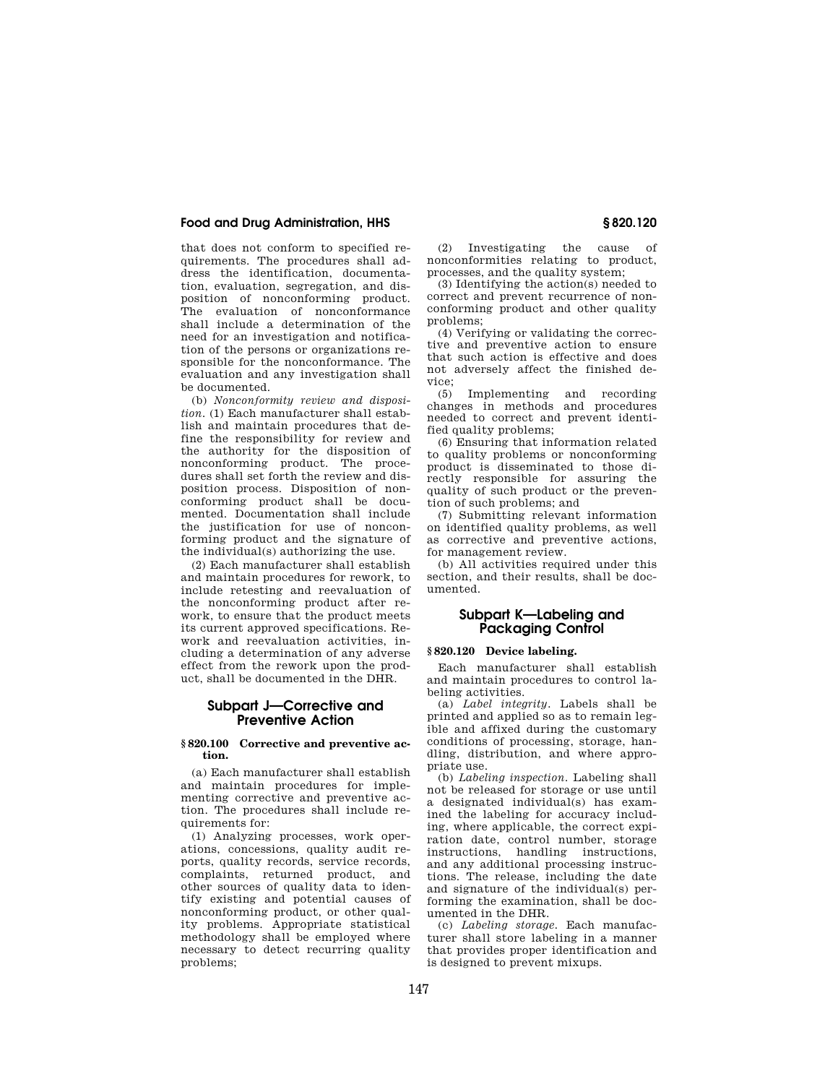that does not conform to specified requirements. The procedures shall address the identification, documentation, evaluation, segregation, and disposition of nonconforming product. The evaluation of nonconformance shall include a determination of the need for an investigation and notification of the persons or organizations responsible for the nonconformance. The evaluation and any investigation shall be documented.

(b) *Nonconformity review and disposition.* (1) Each manufacturer shall establish and maintain procedures that define the responsibility for review and the authority for the disposition of nonconforming product. The procedures shall set forth the review and disposition process. Disposition of nonconforming product shall be documented. Documentation shall include the justification for use of nonconforming product and the signature of the individual(s) authorizing the use.

(2) Each manufacturer shall establish and maintain procedures for rework, to include retesting and reevaluation of the nonconforming product after rework, to ensure that the product meets its current approved specifications. Rework and reevaluation activities, including a determination of any adverse effect from the rework upon the product, shall be documented in the DHR.

# **Subpart J—Corrective and Preventive Action**

#### **§ 820.100 Corrective and preventive action.**

(a) Each manufacturer shall establish and maintain procedures for implementing corrective and preventive action. The procedures shall include requirements for:

(1) Analyzing processes, work operations, concessions, quality audit reports, quality records, service records, complaints, returned product, and other sources of quality data to identify existing and potential causes of nonconforming product, or other quality problems. Appropriate statistical methodology shall be employed where necessary to detect recurring quality problems;

(2) Investigating the cause of nonconformities relating to product, processes, and the quality system;

(3) Identifying the action(s) needed to correct and prevent recurrence of nonconforming product and other quality problems;

(4) Verifying or validating the corrective and preventive action to ensure that such action is effective and does not adversely affect the finished device;

(5) Implementing and recording changes in methods and procedures needed to correct and prevent identified quality problems;

(6) Ensuring that information related to quality problems or nonconforming product is disseminated to those directly responsible for assuring the quality of such product or the prevention of such problems; and

(7) Submitting relevant information on identified quality problems, as well as corrective and preventive actions, for management review.

(b) All activities required under this section, and their results, shall be documented.

# **Subpart K—Labeling and Packaging Control**

## **§ 820.120 Device labeling.**

Each manufacturer shall establish and maintain procedures to control labeling activities.

(a) *Label integrity.* Labels shall be printed and applied so as to remain legible and affixed during the customary conditions of processing, storage, handling, distribution, and where appropriate use.

(b) *Labeling inspection.* Labeling shall not be released for storage or use until a designated individual(s) has examined the labeling for accuracy including, where applicable, the correct expiration date, control number, storage instructions, handling instructions, and any additional processing instructions. The release, including the date and signature of the individual(s) performing the examination, shall be documented in the DHR.

(c) *Labeling storage.* Each manufacturer shall store labeling in a manner that provides proper identification and is designed to prevent mixups.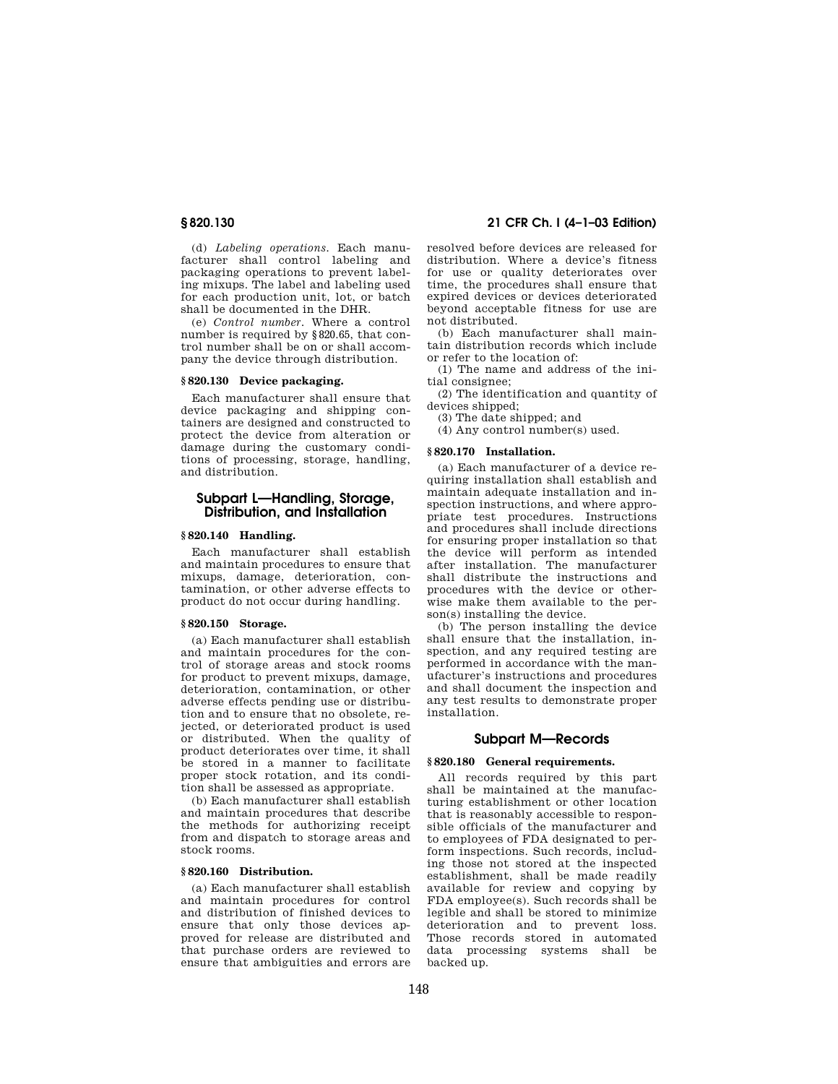**§ 820.130 21 CFR Ch. I (4–1–03 Edition)**

(d) *Labeling operations.* Each manufacturer shall control labeling and packaging operations to prevent labeling mixups. The label and labeling used for each production unit, lot, or batch shall be documented in the DHR.

(e) *Control number.* Where a control number is required by § 820.65, that control number shall be on or shall accompany the device through distribution.

# **§ 820.130 Device packaging.**

Each manufacturer shall ensure that device packaging and shipping containers are designed and constructed to protect the device from alteration or damage during the customary conditions of processing, storage, handling, and distribution.

# **Subpart L—Handling, Storage, Distribution, and Installation**

#### **§ 820.140 Handling.**

Each manufacturer shall establish and maintain procedures to ensure that mixups, damage, deterioration, contamination, or other adverse effects to product do not occur during handling.

#### **§ 820.150 Storage.**

(a) Each manufacturer shall establish and maintain procedures for the control of storage areas and stock rooms for product to prevent mixups, damage, deterioration, contamination, or other adverse effects pending use or distribution and to ensure that no obsolete, rejected, or deteriorated product is used or distributed. When the quality of product deteriorates over time, it shall be stored in a manner to facilitate proper stock rotation, and its condition shall be assessed as appropriate.

(b) Each manufacturer shall establish and maintain procedures that describe the methods for authorizing receipt from and dispatch to storage areas and stock rooms.

# **§ 820.160 Distribution.**

(a) Each manufacturer shall establish and maintain procedures for control and distribution of finished devices to ensure that only those devices approved for release are distributed and that purchase orders are reviewed to ensure that ambiguities and errors are resolved before devices are released for distribution. Where a device's fitness for use or quality deteriorates over time, the procedures shall ensure that expired devices or devices deteriorated beyond acceptable fitness for use are not distributed.

(b) Each manufacturer shall maintain distribution records which include or refer to the location of:

(1) The name and address of the initial consignee;

(2) The identification and quantity of devices shipped;

(3) The date shipped; and

(4) Any control number(s) used.

#### **§ 820.170 Installation.**

(a) Each manufacturer of a device requiring installation shall establish and maintain adequate installation and inspection instructions, and where appropriate test procedures. Instructions and procedures shall include directions for ensuring proper installation so that the device will perform as intended after installation. The manufacturer shall distribute the instructions and procedures with the device or otherwise make them available to the person(s) installing the device.

(b) The person installing the device shall ensure that the installation, inspection, and any required testing are performed in accordance with the manufacturer's instructions and procedures and shall document the inspection and any test results to demonstrate proper installation.

#### **Subpart M—Records**

#### **§ 820.180 General requirements.**

All records required by this part shall be maintained at the manufacturing establishment or other location that is reasonably accessible to responsible officials of the manufacturer and to employees of FDA designated to perform inspections. Such records, including those not stored at the inspected establishment, shall be made readily available for review and copying by FDA employee(s). Such records shall be legible and shall be stored to minimize deterioration and to prevent loss. Those records stored in automated data processing systems shall be backed up.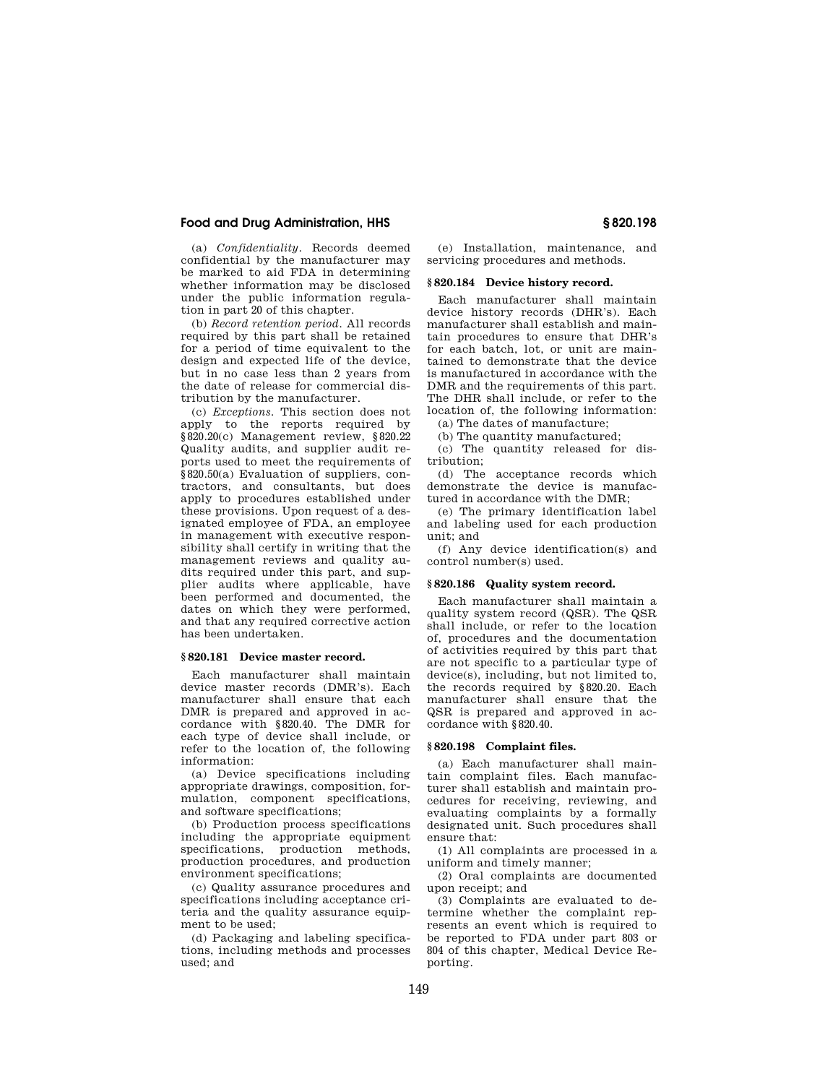(a) *Confidentiality.* Records deemed confidential by the manufacturer may be marked to aid FDA in determining whether information may be disclosed under the public information regulation in part 20 of this chapter.

(b) *Record retention period.* All records required by this part shall be retained for a period of time equivalent to the design and expected life of the device, but in no case less than 2 years from the date of release for commercial distribution by the manufacturer.

(c) *Exceptions.* This section does not apply to the reports required by § 820.20(c) Management review, § 820.22 Quality audits, and supplier audit reports used to meet the requirements of § 820.50(a) Evaluation of suppliers, contractors, and consultants, but does apply to procedures established under these provisions. Upon request of a designated employee of FDA, an employee in management with executive responsibility shall certify in writing that the management reviews and quality audits required under this part, and supplier audits where applicable, have been performed and documented, the dates on which they were performed, and that any required corrective action has been undertaken.

#### **§ 820.181 Device master record.**

Each manufacturer shall maintain device master records (DMR's). Each manufacturer shall ensure that each DMR is prepared and approved in accordance with § 820.40. The DMR for each type of device shall include, or refer to the location of, the following information:

(a) Device specifications including appropriate drawings, composition, formulation, component specifications, and software specifications;

(b) Production process specifications including the appropriate equipment specifications, production methods, production procedures, and production environment specifications;

(c) Quality assurance procedures and specifications including acceptance criteria and the quality assurance equipment to be used;

(d) Packaging and labeling specifications, including methods and processes used; and

(e) Installation, maintenance, and servicing procedures and methods.

## **§ 820.184 Device history record.**

Each manufacturer shall maintain device history records (DHR's). Each manufacturer shall establish and maintain procedures to ensure that DHR's for each batch, lot, or unit are maintained to demonstrate that the device is manufactured in accordance with the DMR and the requirements of this part. The DHR shall include, or refer to the location of, the following information:

(a) The dates of manufacture;

(b) The quantity manufactured; (c) The quantity released for distribution;

(d) The acceptance records which demonstrate the device is manufactured in accordance with the DMR;

(e) The primary identification label and labeling used for each production unit; and

(f) Any device identification(s) and control number(s) used.

#### **§ 820.186 Quality system record.**

Each manufacturer shall maintain a quality system record (QSR). The QSR shall include, or refer to the location of, procedures and the documentation of activities required by this part that are not specific to a particular type of device(s), including, but not limited to, the records required by § 820.20. Each manufacturer shall ensure that the QSR is prepared and approved in accordance with § 820.40.

#### **§ 820.198 Complaint files.**

(a) Each manufacturer shall maintain complaint files. Each manufacturer shall establish and maintain procedures for receiving, reviewing, and evaluating complaints by a formally designated unit. Such procedures shall ensure that:

(1) All complaints are processed in a uniform and timely manner;

(2) Oral complaints are documented upon receipt; and

(3) Complaints are evaluated to determine whether the complaint represents an event which is required to be reported to FDA under part 803 or 804 of this chapter, Medical Device Reporting.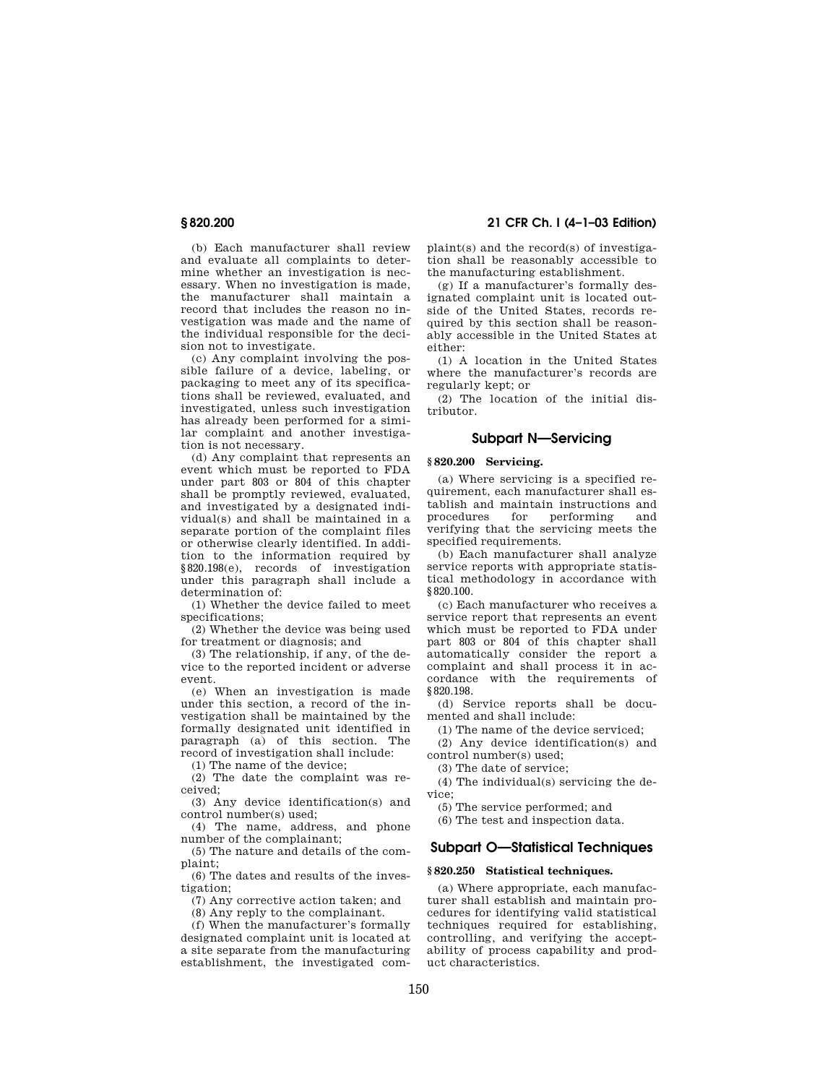(b) Each manufacturer shall review and evaluate all complaints to determine whether an investigation is necessary. When no investigation is made, the manufacturer shall maintain a record that includes the reason no investigation was made and the name of the individual responsible for the decision not to investigate.

(c) Any complaint involving the possible failure of a device, labeling, or packaging to meet any of its specifications shall be reviewed, evaluated, and investigated, unless such investigation has already been performed for a similar complaint and another investigation is not necessary.

(d) Any complaint that represents an event which must be reported to FDA under part 803 or 804 of this chapter shall be promptly reviewed, evaluated, and investigated by a designated individual(s) and shall be maintained in a separate portion of the complaint files or otherwise clearly identified. In addition to the information required by § 820.198(e), records of investigation under this paragraph shall include a determination of:

(1) Whether the device failed to meet specifications;

(2) Whether the device was being used for treatment or diagnosis; and

(3) The relationship, if any, of the device to the reported incident or adverse event.

(e) When an investigation is made under this section, a record of the investigation shall be maintained by the formally designated unit identified in paragraph (a) of this section. The record of investigation shall include:

(1) The name of the device;

(2) The date the complaint was received;

(3) Any device identification(s) and control number(s) used;

(4) The name, address, and phone number of the complainant;

(5) The nature and details of the complaint;

(6) The dates and results of the investigation;

(7) Any corrective action taken; and

(8) Any reply to the complainant.

(f) When the manufacturer's formally designated complaint unit is located at a site separate from the manufacturing establishment, the investigated com-

**§ 820.200 21 CFR Ch. I (4–1–03 Edition)**

plaint(s) and the record(s) of investigation shall be reasonably accessible to the manufacturing establishment.

(g) If a manufacturer's formally designated complaint unit is located outside of the United States, records required by this section shall be reasonably accessible in the United States at either:

(1) A location in the United States where the manufacturer's records are regularly kept; or

(2) The location of the initial distributor.

# **Subpart N—Servicing**

# **§ 820.200 Servicing.**

(a) Where servicing is a specified requirement, each manufacturer shall establish and maintain instructions and procedures for performing and verifying that the servicing meets the specified requirements.

(b) Each manufacturer shall analyze service reports with appropriate statistical methodology in accordance with § 820.100.

(c) Each manufacturer who receives a service report that represents an event which must be reported to FDA under part 803 or 804 of this chapter shall automatically consider the report a complaint and shall process it in accordance with the requirements of § 820.198.

(d) Service reports shall be documented and shall include:

(1) The name of the device serviced;

(2) Any device identification(s) and control number(s) used;

(3) The date of service;

(4) The individual(s) servicing the device;

(5) The service performed; and

(6) The test and inspection data.

# **Subpart O—Statistical Techniques**

#### **§ 820.250 Statistical techniques.**

(a) Where appropriate, each manufacturer shall establish and maintain procedures for identifying valid statistical techniques required for establishing, controlling, and verifying the acceptability of process capability and product characteristics.